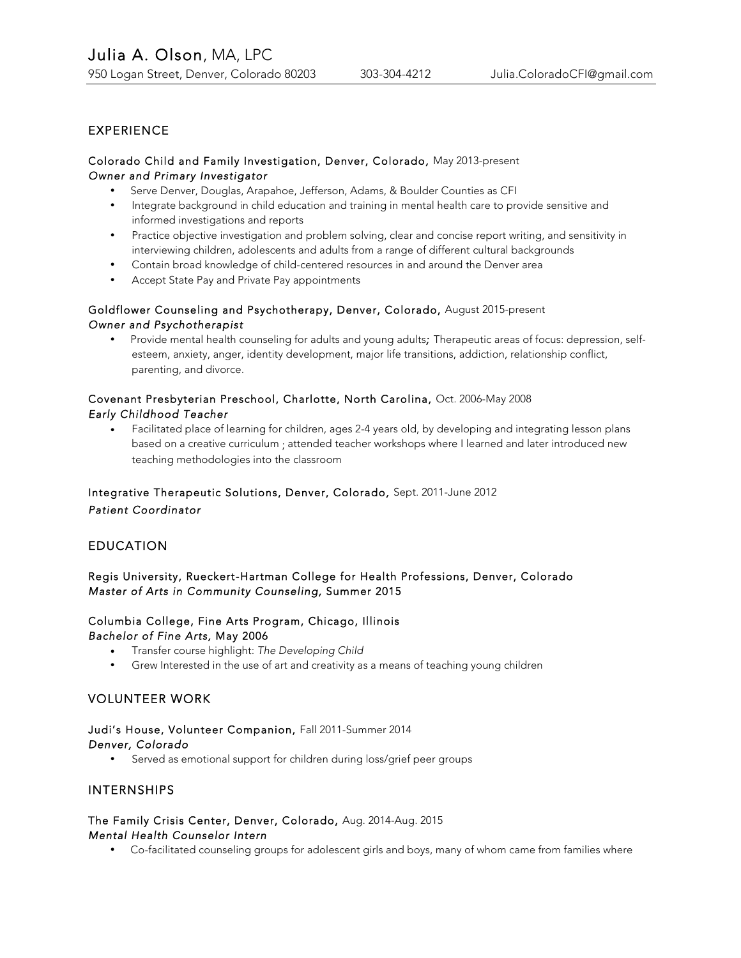# EXPERIENCE

### Colorado Child and Family Investigation, Denver, Colorado*,* May 2013-present *Owner and Primary Investigator*

- Serve Denver, Douglas, Arapahoe, Jefferson, Adams, & Boulder Counties as CFI
- Integrate background in child education and training in mental health care to provide sensitive and informed investigations and reports
- Practice objective investigation and problem solving, clear and concise report writing, and sensitivity in interviewing children, adolescents and adults from a range of different cultural backgrounds
- Contain broad knowledge of child-centered resources in and around the Denver area
- Accept State Pay and Private Pay appointments

## Goldflower Counseling and Psychotherapy, Denver, Colorado, August 2015-present *Owner and Psychotherapist*

• Provide mental health counseling for adults and young adults*;* Therapeutic areas of focus: depression, selfesteem, anxiety, anger, identity development, major life transitions, addiction, relationship conflict, parenting, and divorce.

## Covenant Presbyterian Preschool, Charlotte, North Carolina, Oct. 2006-May 2008 *Early Childhood Teacher*

• Facilitated place of learning for children, ages 2-4 years old, by developing and integrating lesson plans based on a creative curriculum ; attended teacher workshops where I learned and later introduced new teaching methodologies into the classroom

# Integrative Therapeutic Solutions, Denver, Colorado*,* Sept. 2011-June 2012 *Patient Coordinator*

# EDUCATION

### Regis University, Rueckert-Hartman College for Health Professions, Denver, Colorado *Master of Arts in Community Counseling,* Summer 2015

#### Columbia College, Fine Arts Program, Chicago, Illinois *Bachelor of Fine Arts,* May 2006

- Transfer course highlight: *The Developing Child*
- Grew Interested in the use of art and creativity as a means of teaching young children

## VOLUNTEER WORK

## Judi's House, Volunteer Companion, Fall 2011-Summer 2014 *Denver, Colorado*

Served as emotional support for children during loss/grief peer groups

## INTERNSHIPS

### The Family Crisis Center, Denver, Colorado, Aug. 2014-Aug. 2015 *Mental Health Counselor Intern*

• Co-facilitated counseling groups for adolescent girls and boys, many of whom came from families where